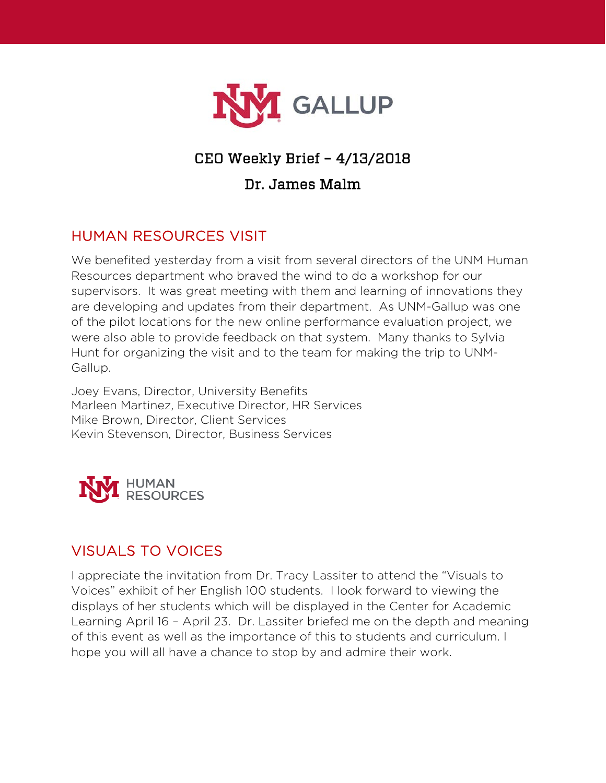

## CEO Weekly Brief – 4/13/2018

#### Dr. James Malm

### HUMAN RESOURCES VISIT

We benefited yesterday from a visit from several directors of the UNM Human Resources department who braved the wind to do a workshop for our supervisors. It was great meeting with them and learning of innovations they are developing and updates from their department. As UNM-Gallup was one of the pilot locations for the new online performance evaluation project, we were also able to provide feedback on that system. Many thanks to Sylvia Hunt for organizing the visit and to the team for making the trip to UNM-Gallup.

Joey Evans, Director, University Benefits Marleen Martinez, Executive Director, HR Services Mike Brown, Director, Client Services Kevin Stevenson, Director, Business Services



### VISUALS TO VOICES

I appreciate the invitation from Dr. Tracy Lassiter to attend the "Visuals to Voices" exhibit of her English 100 students. I look forward to viewing the displays of her students which will be displayed in the Center for Academic Learning April 16 – April 23. Dr. Lassiter briefed me on the depth and meaning of this event as well as the importance of this to students and curriculum. I hope you will all have a chance to stop by and admire their work.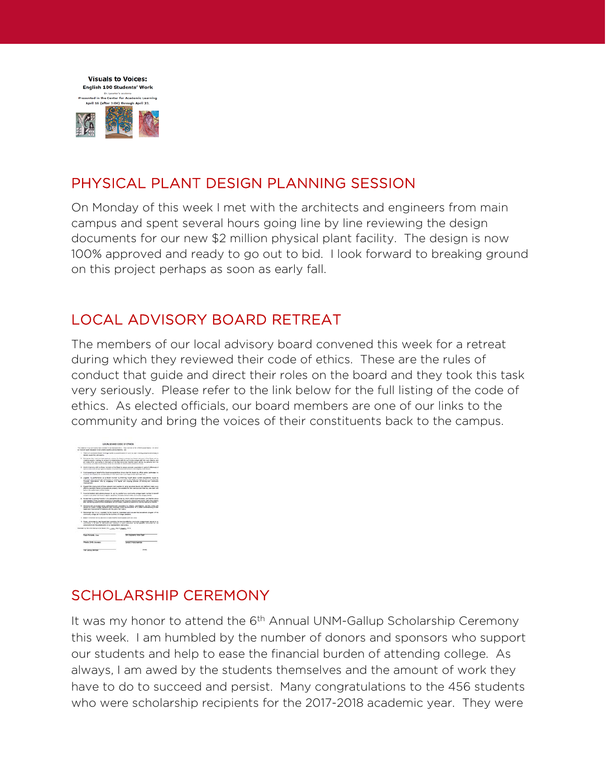

### PHYSICAL PLANT DESIGN PLANNING SESSION

On Monday of this week I met with the architects and engineers from main campus and spent several hours going line by line reviewing the design documents for our new \$2 million physical plant facility. The design is now 100% approved and ready to go out to bid. I look forward to breaking ground on this project perhaps as soon as early fall.

### LOCAL ADVISORY BOARD RETREAT

The members of our local advisory board convened this week for a retreat during which they reviewed their code of ethics. These are the rules of conduct that guide and direct their roles on the board and they took this task very seriously. Please refer to the link below for the full listing of the code of ethics. As elected officials, our board members are one of our links to the community and bring the voices of their constituents back to the campus.

| LOCAL GOARD CODE OF ETHICS                                                                                                                                                                                                                                                                                                                                                                                               |
|--------------------------------------------------------------------------------------------------------------------------------------------------------------------------------------------------------------------------------------------------------------------------------------------------------------------------------------------------------------------------------------------------------------------------|
| The silvers is the commodity form wholesale in the manuscripture. These common of the UNESC count Blanck, I are otherwise<br>is mailed light equality or a control makers with the first in                                                                                                                                                                                                                              |
| 1. About of collections from 4 locatings maybe as constituents and activities to reach president and mass to                                                                                                                                                                                                                                                                                                             |
| 3. Proceeds that twin be supported as a state for their contract and hands accounts of the figure of our<br>mail at a painty matting is senious completed as a fill the serious to the set of the seat channel and<br>at young of the particular on the same of this fact concentrate that the basic definite to authority fact that<br>contracts, and many must alread arrist an assured on temphones, entre pointings. |
| think in locations with the figure instruments of the figure in a water company of any property of additional of<br>painter into single surrou calendari products of such and products the military, or the disease                                                                                                                                                                                                      |
| front position in label stills front-excess at first what the first, by office with automatical<br>to do be, and housing the confidentially of influential that is a to report analy questioned ten.                                                                                                                                                                                                                     |
| Vigilate vs. pollutionist at a finant trustee by missing must good notable assessment to a<br>interded stock and though participation is program standard by the field and dataset thermodia, fortuge<br>Thursday manifesting and its shapeping in a major and channel strikes of distribution continuous                                                                                                                |
| Eugent the engineers of those persons sent suppliers to send as some recurs and and and main courty<br>after to accordant final air animousses are consents includes that the basic sections and that they are start with                                                                                                                                                                                                |
| Point in both of a bank against the at a structure of the at the point of the at the total and the bank of<br>frozet of any other behind of spatial and that the best model of the seconds antique distinct                                                                                                                                                                                                              |
| 8. Amended as principles that is to make the pitche by which told this services or you that the situal<br>administration of the advocated companies is determined to the discipline fidential world leader into companies<br>and restraining academicities constraint and a motivatic superint relationship and the Georgia Schools                                                                                      |
| Outside will strategies which refinished will consenting to charge experiments, and the cashs with<br>dead in noter comp company are consider home decorations for a veter commenting of their<br>basis and instruments of products with the status first linear                                                                                                                                                         |
| 10. Removement than 4 to be crossinged for the insurance commitment and incoment for incomentary company of the<br>passions are a transported of the property of the company                                                                                                                                                                                                                                             |
| 11. Water to release and in the 1 standard to brand that the anti-contract with later colors.                                                                                                                                                                                                                                                                                                                            |
| 11. Truck, structured is clear four-of-state members for the new affective control and passed beauty to you<br>community, in a same of teampoon and executive in poster procedure as the grander comprisant for that<br>construction and the completed of the more probability increasing                                                                                                                                |
| homes to be con faculties board from the word stager. Tells                                                                                                                                                                                                                                                                                                                                                              |
| Play managers was freut                                                                                                                                                                                                                                                                                                                                                                                                  |
| Senatorial Lands                                                                                                                                                                                                                                                                                                                                                                                                         |
|                                                                                                                                                                                                                                                                                                                                                                                                                          |
|                                                                                                                                                                                                                                                                                                                                                                                                                          |

### SCHOLARSHIP CEREMONY

It was my honor to attend the 6<sup>th</sup> Annual UNM-Gallup Scholarship Ceremony this week. I am humbled by the number of donors and sponsors who support our students and help to ease the financial burden of attending college. As always, I am awed by the students themselves and the amount of work they have to do to succeed and persist. Many congratulations to the 456 students who were scholarship recipients for the 2017-2018 academic year. They were